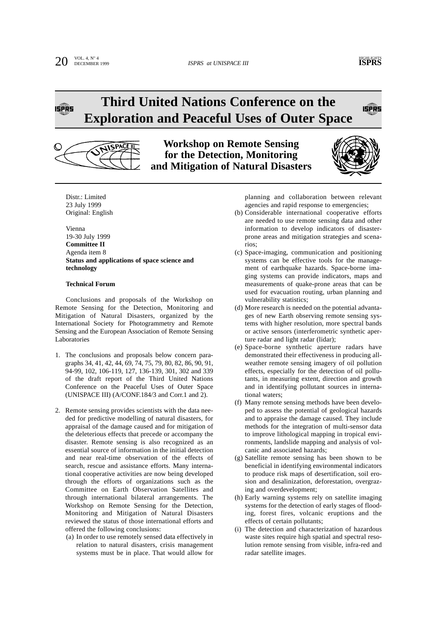**ISPRS** 

# **Third United Nations Conference on the Exploration and Peaceful Uses of Outer Space**



**Workshop on Remote Sensing for the Detection, Monitoring and Mitigation of Natural Disasters**



Distr.: Limited 23 July 1999 Original: English

Vienna 19-30 July 1999 **Committee II** Agenda item 8 **Status and applications of space science and technology**

#### **Technical Forum**

Conclusions and proposals of the Workshop on Remote Sensing for the Detection, Monitoring and Mitigation of Natural Disasters, organized by the International Society for Photogrammetry and Remote Sensing and the European Association of Remote Sensing Laboratories

- 1. The conclusions and proposals below concern paragraphs 34, 41, 42, 44, 69, 74, 75, 79, 80, 82, 86, 90, 91, 94-99, 102, 106-119, 127, 136-139, 301, 302 and 339 of the draft report of the Third United Nations Conference on the Peaceful Uses of Outer Space (UNISPACE III) (A/CONF.184/3 and Corr.1 and 2).
- 2. Remote sensing provides scientists with the data needed for predictive modelling of natural disasters, for appraisal of the damage caused and for mitigation of the deleterious effects that precede or accompany the disaster. Remote sensing is also recognized as an essential source of information in the initial detection and near real-time observation of the effects of search, rescue and assistance efforts. Many international cooperative activities are now being developed through the efforts of organizations such as the Committee on Earth Observation Satellites and through international bilateral arrangements. The Workshop on Remote Sensing for the Detection, Monitoring and Mitigation of Natural Disasters reviewed the status of those international efforts and offered the following conclusions:
	- (a) In order to use remotely sensed data effectively in relation to natural disasters, crisis management systems must be in place. That would allow for

planning and collaboration between relevant agencies and rapid response to emergencies;

- (b) Considerable international cooperative efforts are needed to use remote sensing data and other information to develop indicators of disasterprone areas and mitigation strategies and scenarios;
- (c) Space-imaging, communication and positioning systems can be effective tools for the management of earthquake hazards. Space-borne imaging systems can provide indicators, maps and measurements of quake-prone areas that can be used for evacuation routing, urban planning and vulnerability statistics;
- (d) More research is needed on the potential advantages of new Earth observing remote sensing systems with higher resolution, more spectral bands or active sensors (interferometric synthetic aperture radar and light radar (lidar);
- (e) Space-borne synthetic aperture radars have demonstrated their effectiveness in producing allweather remote sensing imagery of oil pollution effects, especially for the detection of oil pollutants, in measuring extent, direction and growth and in identifying pollutant sources in international waters;
- (f) Many remote sensing methods have been developed to assess the potential of geological hazards and to appraise the damage caused. They include methods for the integration of multi-sensor data to improve lithological mapping in tropical environments, landslide mapping and analysis of volcanic and associated hazards;
- (g) Satellite remote sensing has been shown to be beneficial in identifying environmental indicators to produce risk maps of desertification, soil erosion and desalinization, deforestation, overgrazing and overdevelopment;
- (h) Early warning systems rely on satellite imaging systems for the detection of early stages of flooding, forest fires, volcanic eruptions and the effects of certain pollutants;
- (i) The detection and characterization of hazardous waste sites require high spatial and spectral resolution remote sensing from visible, infra-red and radar satellite images.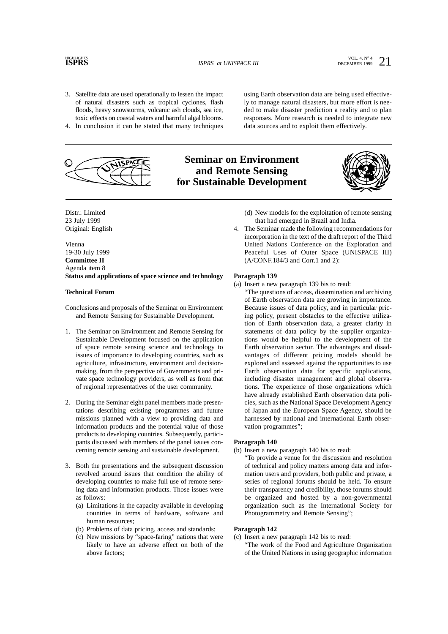### **HIGHLIGHTS**

**ISPRS** at UNISPACE III  $\frac{1}{2}$  DECEMBER 1999 21

- 3. Satellite data are used operationally to lessen the impact of natural disasters such as tropical cyclones, flash floods, heavy snowstorms, volcanic ash clouds, sea ice, toxic effects on coastal waters and harmful algal blooms.
- 4. In conclusion it can be stated that many techniques



### **Seminar on Environment and Remote Sensing for Sustainable Development**



Distr.: Limited 23 July 1999 Original: English

Vienna 19-30 July 1999 **Committee II** Agenda item 8 **Status and applications of space science and technology**

#### **Technical Forum**

Conclusions and proposals of the Seminar on Environment and Remote Sensing for Sustainable Development.

- 1. The Seminar on Environment and Remote Sensing for Sustainable Development focused on the application of space remote sensing science and technology to issues of importance to developing countries, such as agriculture, infrastructure, environment and decisionmaking, from the perspective of Governments and private space technology providers, as well as from that of regional representatives of the user community.
- 2. During the Seminar eight panel members made presentations describing existing programmes and future missions planned with a view to providing data and information products and the potential value of those products to developing countries. Subsequently, participants discussed with members of the panel issues concerning remote sensing and sustainable development.
- 3. Both the presentations and the subsequent discussion revolved around issues that condition the ability of developing countries to make full use of remote sensing data and information products. Those issues were as follows:
	- (a) Limitations in the capacity available in developing countries in terms of hardware, software and human resources;
	- (b) Problems of data pricing, access and standards;
	- (c) New missions by "space-faring" nations that were likely to have an adverse effect on both of the above factors;

(d) New models for the exploitation of remote sensing that had emerged in Brazil and India.

using Earth observation data are being used effectively to manage natural disasters, but more effort is needed to make disaster prediction a reality and to plan responses. More research is needed to integrate new data sources and to exploit them effectively.

4. The Seminar made the following recommendations for incorporation in the text of the draft report of the Third United Nations Conference on the Exploration and Peaceful Uses of Outer Space (UNISPACE III) (A/CONF.184/3 and Corr.1 and 2):

#### **Paragraph 139**

- (a) Insert a new paragraph 139 bis to read:
	- "The questions of access, dissemination and archiving of Earth observation data are growing in importance. Because issues of data policy, and in particular pricing policy, present obstacles to the effective utilization of Earth observation data, a greater clarity in statements of data policy by the supplier organizations would be helpful to the development of the Earth observation sector. The advantages and disadvantages of different pricing models should be explored and assessed against the opportunities to use Earth observation data for specific applications, including disaster management and global observations. The experience of those organizations which have already established Earth observation data policies, such as the National Space Development Agency of Japan and the European Space Agency, should be harnessed by national and international Earth observation programmes";

#### **Paragraph 140**

- (b) Insert a new paragraph 140 bis to read:
	- "To provide a venue for the discussion and resolution of technical and policy matters among data and information users and providers, both public and private, a series of regional forums should be held. To ensure their transparency and credibility, those forums should be organized and hosted by a non-governmental organization such as the International Society for Photogrammetry and Remote Sensing";

#### **Paragraph 142**

- (c) Insert a new paragraph 142 bis to read: "The work of the Food and Agriculture Organization
	- of the United Nations in using geographic information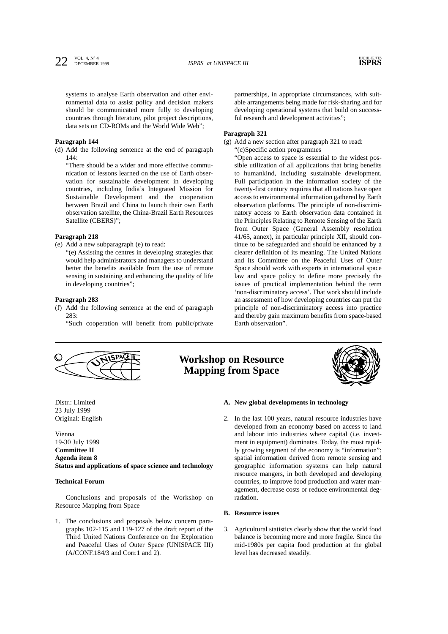systems to analyse Earth observation and other environmental data to assist policy and decision makers should be communicated more fully to developing countries through literature, pilot project descriptions, data sets on CD-ROMs and the World Wide Web";

#### **Paragraph 144**

(d) Add the following sentence at the end of paragraph  $144.$ 

"There should be a wider and more effective communication of lessons learned on the use of Earth observation for sustainable development in developing countries, including India's Integrated Mission for Sustainable Development and the cooperation between Brazil and China to launch their own Earth observation satellite, the China-Brazil Earth Resources Satellite (CBERS)";

#### **Paragraph 218**

- (e) Add a new subparagraph (e) to read:
	- "(e) Assisting the centres in developing strategies that would help administrators and managers to understand better the benefits available from the use of remote sensing in sustaining and enhancing the quality of life in developing countries";

#### **Paragraph 283**

(f) Add the following sentence at the end of paragraph 283:

"Such cooperation will benefit from public/private

partnerships, in appropriate circumstances, with suitable arrangements being made for risk-sharing and for developing operational systems that build on successful research and development activities";

#### **Paragraph 321**

(g) Add a new section after paragraph 321 to read: "(c)Specific action programmes

"Open access to space is essential to the widest possible utilization of all applications that bring benefits to humankind, including sustainable development. Full participation in the information society of the twenty-first century requires that all nations have open access to environmental information gathered by Earth observation platforms. The principle of non-discriminatory access to Earth observation data contained in the Principles Relating to Remote Sensing of the Earth from Outer Space (General Assembly resolution 41/65, annex), in particular principle XII, should continue to be safeguarded and should be enhanced by a clearer definition of its meaning. The United Nations and its Committee on the Peaceful Uses of Outer Space should work with experts in international space law and space policy to define more precisely the issues of practical implementation behind the term 'non-discriminatory access'. That work should include an assessment of how developing countries can put the principle of non-discriminatory access into practice and thereby gain maximum benefits from space-based Earth observation".



**Workshop on Resource Mapping from Space**



Distr.: Limited 23 July 1999 Original: English

Vienna 19-30 July 1999 **Committee II Agenda item 8 Status and applications of space science and technology**

#### **Technical Forum**

Conclusions and proposals of the Workshop on Resource Mapping from Space

1. The conclusions and proposals below concern paragraphs 102-115 and 119-127 of the draft report of the Third United Nations Conference on the Exploration and Peaceful Uses of Outer Space (UNISPACE III) (A/CONF.184/3 and Corr.1 and 2).

#### **A. New global developments in technology**

2. In the last 100 years, natural resource industries have developed from an economy based on access to land and labour into industries where capital (i.e. investment in equipment) dominates. Today, the most rapidly growing segment of the economy is "information": spatial information derived from remote sensing and geographic information systems can help natural resource mangers, in both developed and developing countries, to improve food production and water management, decrease costs or reduce environmental degradation.

#### **B. Resource issues**

3. Agricultural statistics clearly show that the world food balance is becoming more and more fragile. Since the mid-1980s per capita food production at the global level has decreased steadily.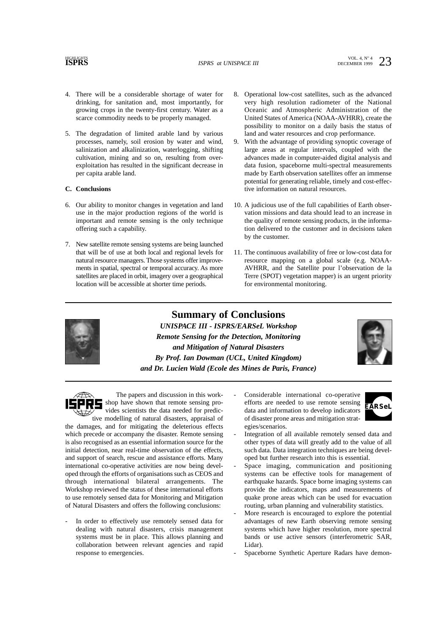**ISPRS** at UNISPACE III  $\frac{\text{VOL. 4, N}^{\circ}4}{\text{DECEMBER 1999}}$  23

- 4. There will be a considerable shortage of water for drinking, for sanitation and, most importantly, for growing crops in the twenty-first century. Water as a scarce commodity needs to be properly managed.
- 5. The degradation of limited arable land by various processes, namely, soil erosion by water and wind, salinization and alkalinization, waterlogging, shifting cultivation, mining and so on, resulting from overexploitation has resulted in the significant decrease in per capita arable land.

### **C. Conclusions**

- 6. Our ability to monitor changes in vegetation and land use in the major production regions of the world is important and remote sensing is the only technique offering such a capability.
- 7. New satellite remote sensing systems are being launched that will be of use at both local and regional levels for natural resource managers. Those systems offer improvements in spatial, spectral or temporal accuracy. As more satellites are placed in orbit, imagery over a geographical location will be accessible at shorter time periods.
- 8. Operational low-cost satellites, such as the advanced very high resolution radiometer of the National Oceanic and Atmospheric Administration of the United States of America (NOAA-AVHRR), create the possibility to monitor on a daily basis the status of land and water resources and crop performance.
- With the advantage of providing synoptic coverage of large areas at regular intervals, coupled with the advances made in computer-aided digital analysis and data fusion, spaceborne multi-spectral measurements made by Earth observation satellites offer an immense potential for generating reliable, timely and cost-effective information on natural resources.
- 10. A judicious use of the full capabilities of Earth observation missions and data should lead to an increase in the quality of remote sensing products, in the information delivered to the customer and in decisions taken by the customer.
- 11. The continuous availability of free or low-cost data for resource mapping on a global scale (e.g. NOAA-AVHRR, and the Satellite pour l'observation de la Terre (SPOT) vegetation mapper) is an urgent priority for environmental monitoring.

**Summary of Conclusions** *UNISPACE III - ISPRS/EARSeL Workshop Remote Sensing for the Detection, Monitoring and Mitigation of Natural Disasters By Prof. Ian Dowman (UCL, United Kingdom) and Dr. Lucien Wald (Ecole des Mines de Paris, France)*



The papers and discussion in this workshop have shown that remote sensing provides scientists the data needed for predictive modelling of natural disasters, appraisal of

the damages, and for mitigating the deleterious effects which precede or accompany the disaster. Remote sensing is also recognised as an essential information source for the initial detection, near real-time observation of the effects, and support of search, rescue and assistance efforts. Many international co-operative activities are now being developed through the efforts of organisations such as CEOS and through international bilateral arrangements. The Workshop reviewed the status of these international efforts to use remotely sensed data for Monitoring and Mitigation of Natural Disasters and offers the following conclusions:

In order to effectively use remotely sensed data for dealing with natural disasters, crisis management systems must be in place. This allows planning and collaboration between relevant agencies and rapid response to emergencies.

Considerable international co-operative efforts are needed to use remote sensing data and information to develop indicators of disaster prone areas and mitigation strategies/scenarios.



- Integration of all available remotely sensed data and other types of data will greatly add to the value of all such data. Data integration techniques are being developed but further research into this is essential.
- Space imaging, communication and positioning systems can be effective tools for management of earthquake hazards. Space borne imaging systems can provide the indicators, maps and measurements of quake prone areas which can be used for evacuation routing, urban planning and vulnerability statistics.
- More research is encouraged to explore the potential advantages of new Earth observing remote sensing systems which have higher resolution, more spectral bands or use active sensors (interferometric SAR, Lidar).
- Spaceborne Synthetic Aperture Radars have demon-

### **HIGHLIGHTS**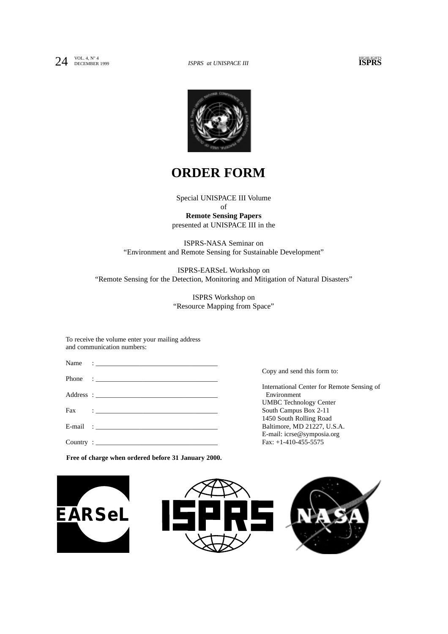

## **ORDER FORM**

Special UNISPACE III Volume of **Remote Sensing Papers** presented at UNISPACE III in the

ISPRS-NASA Seminar on "Environment and Remote Sensing for Sustainable Development"

ISPRS-EARSeL Workshop on "Remote Sensing for the Detection, Monitoring and Mitigation of Natural Disasters"

> ISPRS Workshop on "Resource Mapping from Space"

To receive the volume enter your mailing address and communication numbers:

| Phone : $\frac{1}{2}$ |  |
|-----------------------|--|
|                       |  |
|                       |  |
| E-mail :              |  |
| Country:              |  |

Copy and send this form to:

International Center for Remote Sensing of Environment UMBC Technology Center South Campus Box 2-11 1450 South Rolling Road Baltimore, MD 21227, U.S.A. E-mail: icrse@symposia.org Fax: +1-410-455-5575

**Free of charge when ordered before 31 January 2000.**